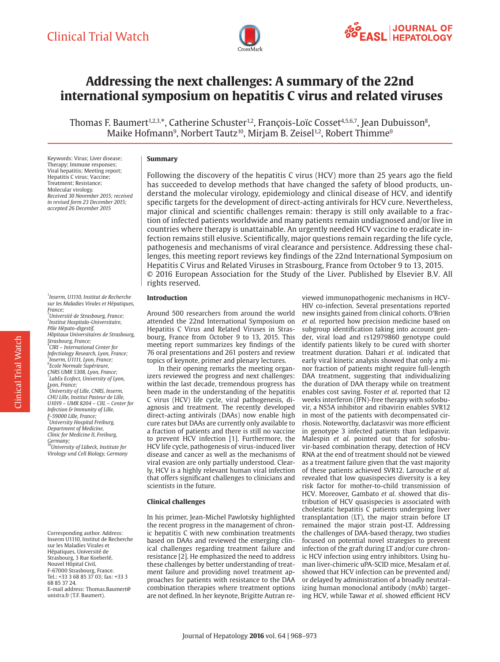

# **Addressing the next challenges: A summary of the 22nd international symposium on hepatitis C virus and related viruses**

Thomas F. Baumert<sup>1,2,3,\*</sup>, Catherine Schuster<sup>1,2</sup>, François-Loïc Cosset<sup>4,5,6,7</sup>, Jean Dubuisson<sup>8</sup>, Maike Hofmann $^9$ , Norbert Tautz $^{10}$ , Mirjam B. Zeisel $^{1,2}$ , Robert Thimme $^9$ 

Keywords: Virus; Liver disease; Therapy; Immune responses; Viral hepatitis; Meeting report; Hepatitis C virus; Vaccine; Treatment; Resistance; Molecular virology. *Received 30 November 2015; received in revised form 23 December 2015; accepted 26 December 2015*

1 *Inserm, U1110, Institut de Recherche sur les Maladies Virales et Hépatiques, France;* 

2 *Université de Strasbourg, France;*  3 *Institut Hospitalo-Universitaire, Pôle Hépato-digestif, Hôpitaux Universitaires de Strasbourg, Strasbourg, France;*  4 *CIRI – International Center for Infectiology Research, Lyon, France;* 5 *Inserm, U1111, Lyon, France;* 6 *Ecole Normale Supérieure, CNRS UMR 5308, Lyon, France;* 7 *LabEx Ecofect, University of Lyon, Lyon, France;* 8 *University of Lille, CNRS, Inserm, CHU Lille, Institut Pasteur de Lille, U1019 – UMR 8204 – CIIL – Center for Infection & Immunity of Lille, F-59000 Lille, France;* 9 *University Hospital Freiburg, Department of Medicine, Clinic for Medicine II, Freiburg,* 

*Germany;* <sup>10</sup>*University of Lübeck, Institute for Virology und Cell Biology, Germany*

Corresponding author. Address: Inserm U1110, Institut de Recherche sur les Maladies Virales et Hépatiques, Université de Strasbourg, 3 Rue Koeberlé, Nouvel Hôpital Civil, F-67000 Strasbourg, France. Tel.: +33 3 68 85 37 03; fax: +33 3 68 85 37 24. E-mail address: Thomas.Baumert@ unistra.fr (T.F. Baumert).

### **Summary**

Following the discovery of the hepatitis C virus (HCV) more than 25 years ago the field has succeeded to develop methods that have changed the safety of blood products, understand the molecular virology, epidemiology and clinical disease of HCV, and identify specific targets for the development of direct-acting antivirals for HCV cure. Nevertheless, major clinical and scientific challenges remain: therapy is still only available to a fraction of infected patients worldwide and many patients remain undiagnosed and/or live in countries where therapy is unattainable. An urgently needed HCV vaccine to eradicate infection remains still elusive. Scientifically, major questions remain regarding the life cycle, pathogenesis and mechanisms of viral clearance and persistence. Addressing these challenges, this meeting report reviews key findings of the 22nd International Symposium on Hepatitis C Virus and Related Viruses in Strasbourg, France from October 9 to 13, 2015. © 2016 European Association for the Study of the Liver. Published by Elsevier B.V. All rights reserved.

#### **Introduction**

Around 500 researchers from around the world attended the 22nd International Symposium on Hepatitis C Virus and Related Viruses in Strasbourg, France from October 9 to 13, 2015. This meeting report summarizes key findings of the 76 oral presentations and 261 posters and review topics of keynote, primer and plenary lectures.

In their opening remarks the meeting organizers reviewed the progress and next challenges: within the last decade, tremendous progress has been made in the understanding of the hepatitis C virus (HCV) life cycle, viral pathogenesis, diagnosis and treatment. The recently developed direct-acting antivirals (DAAs) now enable high cure rates but DAAs are currently only available to a fraction of patients and there is still no vaccine to prevent HCV infection [\[1\].](#page-5-0) Furthermore, the HCV life cycle, pathogenesis of virus-induced liver disease and cancer as well as the mechanisms of viral evasion are only partially understood. Clearly, HCV is a highly relevant human viral infection that offers significant challenges to clinicians and scientists in the future.

#### **Clinical challenges**

In his primer, Jean-Michel Pawlotsky highlighted the recent progress in the management of chronic hepatitis C with new combination treatments based on DAAs and reviewed the emerging clinical challenges regarding treatment failure and resistance [\[2\].](#page-5-1) He emphasized the need to address these challenges by better understanding of treatment failure and providing novel treatment approaches for patients with resistance to the DAA combination therapies where treatment options are not defined. In her keynote, Brigitte Autran re-

viewed immunopathogenic mechanisms in HCV-HIV co-infection. Several presentations reported new insights gained from clinical cohorts. O'Brien *et al.* reported how precision medicine based on subgroup identification taking into account gender, viral load and rs12979860 genotype could identify patients likely to be cured with shorter treatment duration. Dahari *et al*. indicated that early viral kinetic analysis showed that only a minor fraction of patients might require full-length DAA treatment, suggesting that individualizing the duration of DAA therapy while on treatment enables cost saving. Foster *et al*. reported that 12 weeks interferon (IFN)-free therapy with sofosbuvir, a NS5A inhibitor and ribavirin enables SVR12 in most of the patients with decompensated cirrhosis. Noteworthy, daclatasvir was more efficient in genotype 3 infected patients than ledipasvir. Malespin *et al*. pointed out that for sofosbuvir-based combination therapy, detection of HCV RNA at the end of treatment should not be viewed as a treatment failure given that the vast majority of these patients achieved SVR12. Larouche *et al*. revealed that low quasispecies diversity is a key risk factor for mother-to-child transmission of HCV. Moreover, Gambato *et al*. showed that distribution of HCV quasispecies is associated with cholestatic hepatitis C patients undergoing liver transplantation (LT), the major strain before LT remained the major strain post-LT. Addressing the challenges of DAA-based therapy, two studies focused on potential novel strategies to prevent infection of the graft during LT and/or cure chronic HCV infection using entry inhibitors. Using human liver-chimeric uPA-SCID mice, Mesalam *et al*. showed that HCV infection can be prevented and/ or delayed by administration of a broadly neutralizing human monoclonal antibody (mAb) targeting HCV, while Tawar *et al*. showed efficient HCV

Clinical Trial Watch

**Clinical Trial Watch**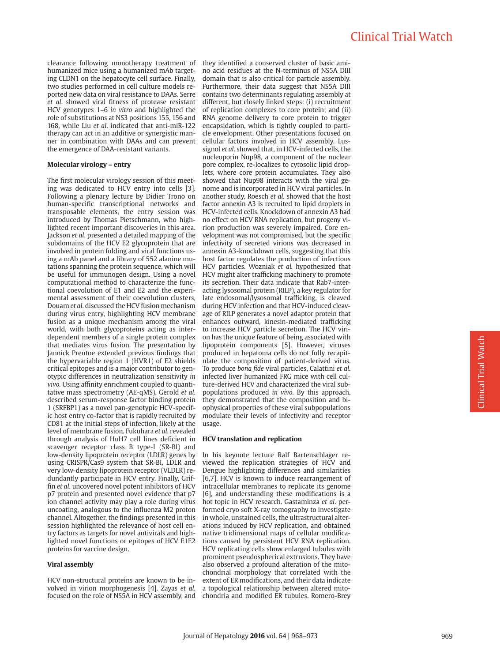## Clinical Trial Watch

clearance following monotherapy treatment of humanized mice using a humanized mAb targeting CLDN1 on the hepatocyte cell surface. Finally, two studies performed in cell culture models reported new data on viral resistance to DAAs. Serre *et al*. showed viral fitness of protease resistant HCV genotypes 1–6 *in vitro* and highlighted the role of substitutions at NS3 positions 155, 156 and 168, while Liu *et al*. indicated that anti-miR-122 therapy can act in an additive or synergistic manner in combination with DAAs and can prevent the emergence of DAA-resistant variants.

#### **Molecular virology – entry**

The first molecular virology session of this meeting was dedicated to HCV entry into cells [\[3\].](#page-5-2) Following a plenary lecture by Didier Trono on human-specific transcriptional networks and transposable elements, the entry session was introduced by Thomas Pietschmann, who highlighted recent important discoveries in this area. Jackson *et al*. presented a detailed mapping of the subdomains of the HCV E2 glycoprotein that are involved in protein folding and viral functions using a mAb panel and a library of 552 alanine mutations spanning the protein sequence, which will be useful for immunogen design. Using a novel computational method to characterize the functional coevolution of E1 and E2 and the experimental assessment of their coevolution clusters, Douam *et al*. discussed the HCV fusion mechanism during virus entry, highlighting HCV membrane fusion as a unique mechanism among the viral world, with both glycoproteins acting as interdependent members of a single protein complex that mediates virus fusion. The presentation by Jannick Prentoe extended previous findings that the hypervariable region  $1$  (HVR1) of E2 shields critical epitopes and is a major contributor to genotypic differences in neutralization sensitivity *in vivo.* Using affinity enrichment coupled to quantitative mass spectrometry (AE-qMS), Gerold *et al*. described serum-response factor binding protein 1 (SRFBP1) as a novel pan-genotypic HCV-specific host entry co-factor that is rapidly recruited by CD81 at the initial steps of infection, likely at the level of membrane fusion. Fukuhara *et al*. revealed through analysis of HuH7 cell lines deficient in scavenger receptor class B type-I (SR-BI) and low-density lipoprotein receptor (LDLR) genes by using CRISPR/Cas9 system that SR-BI, LDLR and very low-density lipoprotein receptor (VLDLR) redundantly participate in HCV entry. Finally, Griffin *et al*. uncovered novel potent inhibitors of HCV p7 protein and presented novel evidence that p7 ion channel activity may play a role during virus uncoating, analogous to the influenza M2 proton channel. Altogether, the findings presented in this session highlighted the relevance of host cell entry factors as targets for novel antivirals and highlighted novel functions or epitopes of HCV E1E2 proteins for vaccine design.

#### **Viral assembly**

HCV non-structural proteins are known to be involved in virion morphogenesis [\[4\].](#page-5-3) Zayas *et al*. focused on the role of NS5A in HCV assembly, and

they identified a conserved cluster of basic amino acid residues at the N-terminus of NS5A DIII domain that is also critical for particle assembly. Furthermore, their data suggest that NS5A DIII contains two determinants regulating assembly at different, but closely linked steps: (i) recruitment of replication complexes to core protein; and (ii) RNA genome delivery to core protein to trigger encapsidation, which is tightly coupled to particle envelopment. Other presentations focused on cellular factors involved in HCV assembly. Lussignol *et al*. showed that, in HCV-infected cells, the nucleoporin Nup98, a component of the nuclear pore complex, re-localizes to cytosolic lipid droplets, where core protein accumulates. They also showed that Nup98 interacts with the viral genome and is incorporated in HCV viral particles. In another study, Roesch *et al*. showed that the host factor annexin A3 is recruited to lipid droplets in HCV-infected cells. Knockdown of annexin A3 had no effect on HCV RNA replication, but progeny virion production was severely impaired. Core envelopment was not compromised, but the specific infectivity of secreted virions was decreased in annexin A3-knockdown cells, suggesting that this host factor regulates the production of infectious HCV particles. Wozniak *et al.* hypothesized that HCV might alter trafficking machinery to promote its secretion. Their data indicate that Rab7-interacting lysosomal protein (RILP), a key regulator for late endosomal/lysosomal trafficking, is cleaved during HCV infection and that HCV-induced cleavage of RILP generates a novel adaptor protein that enhances outward, kinesin-mediated trafficking to increase HCV particle secretion. The HCV virion has the unique feature of being associated with lipoprotein components [\[5\].](#page-5-4) However, viruses produced in hepatoma cells do not fully recapitulate the composition of patient-derived virus. To produce *bona fide* viral particles, Calattini *et al*. infected liver humanized FRG mice with cell culture-derived HCV and characterized the viral subpopulations produced *in vivo.* By this approach, they demonstrated that the composition and biophysical properties of these viral subpopulations modulate their levels of infectivity and receptor usage.

#### **HCV translation and replication**

In his keynote lecture Ralf Bartenschlager reviewed the replication strategies of HCV and Dengue highlighting differences and similarities [\[6,7\].](#page-5-5) HCV is known to induce rearrangement of intracellular membranes to replicate its genome [\[6\]](#page-5-5), and understanding these modifications is a hot topic in HCV research. Gastaminza *et al*. performed cryo soft X-ray tomography to investigate in whole, unstained cells, the ultrastructural alterations induced by HCV replication, and obtained native tridimensional maps of cellular modifications caused by persistent HCV RNA replication. HCV replicating cells show enlarged tubules with prominent pseudospherical extrusions. They have also observed a profound alteration of the mitochondrial morphology that correlated with the extent of ER modifications, and their data indicate a topological relationship between altered mitochondria and modified ER tubules. Romero-Brey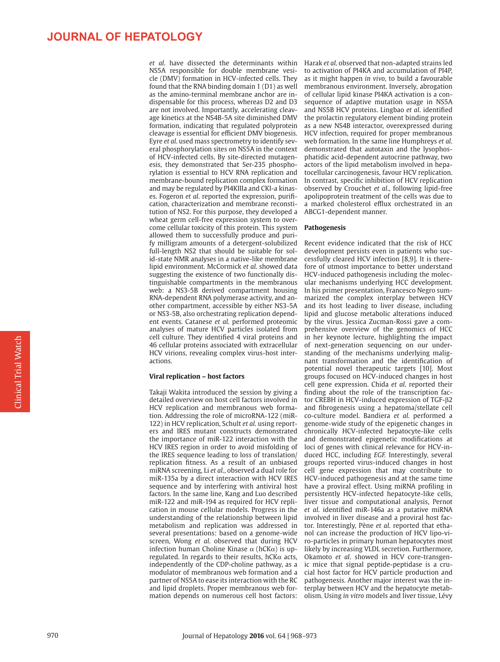### **JOURNAL OF HEPATOLOGY**

NS5A responsible for double membrane vesicle (DMV) formation in HCV-infected cells. They found that the RNA binding domain 1 (D1) as well as the amino-terminal membrane anchor are indispensable for this process, whereas D2 and D3 are not involved. Importantly, accelerating cleavage kinetics at the NS4B-5A site diminished DMV formation, indicating that regulated polyprotein cleavage is essential for efficient DMV biogenesis. Eyre *et al*. used mass spectrometry to identify several phosphorylation sites on NS5A in the context of HCV-infected cells. By site-directed mutagenesis, they demonstrated that Ser-235 phosphorylation is essential to HCV RNA replication and membrane-bound replication complex formation and may be regulated by PI4KIIIa and CKI-a kinases. Fogeron *et al*. reported the expression, purification, characterization and membrane reconstitution of NS2. For this purpose, they developed a wheat germ cell-free expression system to overcome cellular toxicity of this protein. This system allowed them to successfully produce and purify milligram amounts of a detergent-solubilized full-length NS2 that should be suitable for solid-state NMR analyses in a native-like membrane lipid environment. McCormick *et al*. showed data suggesting the existence of two functionally distinguishable compartments in the membranous web: a NS3-5B derived compartment housing RNA-dependent RNA polymerase activity, and another compartment, accessible by either NS3-5A or NS3-5B, also orchestrating replication dependent events. Catanese *et al*. performed proteomic analyses of mature HCV particles isolated from cell culture. They identified 4 viral proteins and 46 cellular proteins associated with extracellular HCV virions, revealing complex virus-host interactions.

#### **Viral replication – host factors**

Takaji Wakita introduced the session by giving a detailed overview on host cell factors involved in HCV replication and membranous web formation. Addressing the role of microRNA-122 (miR-122) in HCV replication, Schult *et al*. using reporters and IRES mutant constructs demonstrated the importance of miR-122 interaction with the HCV IRES region in order to avoid misfolding of the IRES sequence leading to loss of translation/ replication fitness. As a result of an unbiased miRNA screening, Li *et al*., observed a dual role for miR-135a by a direct interaction with HCV IRES sequence and by interfering with antiviral host factors. In the same line, Kang and Luo described miR-122 and miR-194 as required for HCV replication in mouse cellular models. Progress in the understanding of the relationship between lipid metabolism and replication was addressed in several presentations: based on a genome-wide screen, Wong *et al*. observed that during HCV infection human Choline Kinase  $α$  (hCK $α$ ) is upregulated. In regards to their results, hCK $\alpha$  acts, independently of the CDP-choline pathway, as a modulator of membranous web formation and a partner of NS5A to ease its interaction with the RC and lipid droplets. Proper membranous web formation depends on numerous cell host factors:

*et al*. have dissected the determinants within Harak *et al*. observed that non-adapted strains led to activation of PI4KA and accumulation of PI4P, as it might happen *in vivo,* to build a favourable membranous environment. Inversely, abrogation of cellular lipid kinase PI4KA activation is a consequence of adaptive mutation usage in NS5A and NS5B HCV proteins. Lingbao *et al*. identified the prolactin regulatory element binding protein as a new NS4B interactor, overexpressed during HCV infection, required for proper membranous web formation. In the same line Humphreys *et al*. demonstrated that autotaxin and the lysophosphatidic acid-dependent autocrine pathway, two actors of the lipid metabolism involved in hepatocellular carcinogenesis, favour HCV replication. In contrast, specific inhibition of HCV replication observed by Crouchet *et al*., following lipid-free apolipoprotein treatment of the cells was due to a marked cholesterol efflux orchestrated in an ABCG1-dependent manner.

#### **Pathogenesis**

Recent evidence indicated that the risk of HCC development persists even in patients who successfully cleared HCV infection [\[8,9\]](#page-5-6). It is therefore of utmost importance to better understand HCV-induced pathogenesis including the molecular mechanisms underlying HCC development. In his primer presentation, Francesco Negro summarized the complex interplay between HCV and its host leading to liver disease, including lipid and glucose metabolic alterations induced by the virus. Jessica Zucman-Rossi gave a comprehensive overview of the genomics of HCC in her keynote lecture, highlighting the impact of next-generation sequencing on our understanding of the mechanisms underlying malignant transformation and the identification of potential novel therapeutic targets [\[10\].](#page-5-7) Most groups focused on HCV-induced changes in host cell gene expression. Chida *et al*. reported their finding about the role of the transcription factor CREBH in HCV-induced expression of TGF-β2 and fibrogenesis using a hepatoma/stellate cell co-culture model. Bandiera *et al*. performed a genome-wide study of the epigenetic changes in chronically HCV-infected hepatocyte-like cells and demonstrated epigenetic modifications at loci of genes with clinical relevance for HCV-induced HCC, including *EGF.* Interestingly, several groups reported virus-induced changes in host cell gene expression that may contribute to HCV-induced pathogenesis and at the same time have a proviral effect. Using miRNA profiling in persistently HCV-infected hepatocyte-like cells, liver tissue and computational analysis, Pernot *et al*. identified miR-146a as a putative miRNA involved in liver disease and a proviral host factor. Interestingly, Pène *et al*. reported that ethanol can increase the production of HCV lipo-viro-particles in primary human hepatocytes most likely by increasing VLDL secretion. Furthermore, Okamoto *et al*. showed in HCV core-transgenic mice that signal peptide-peptidase is a crucial host factor for HCV particle production and pathogenesis. Another major interest was the interplay between HCV and the hepatocyte metabolism. Using *in vitro* models and liver tissue, Lévy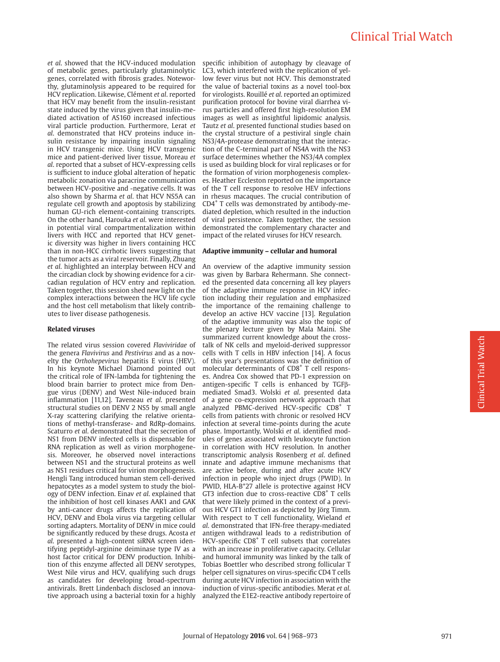## Clinical Trial Watch

*et al*. showed that the HCV-induced modulation of metabolic genes, particularly glutaminolytic genes, correlated with fibrosis grades. Noteworthy, glutaminolysis appeared to be required for HCV replication. Likewise, Clément *et al*. reported that HCV may benefit from the insulin-resistant state induced by the virus given that insulin-mediated activation of AS160 increased infectious viral particle production. Furthermore, Lerat *et al*. demonstrated that HCV proteins induce insulin resistance by impairing insulin signaling in HCV transgenic mice. Using HCV transgenic mice and patient-derived liver tissue, Moreau *et al*. reported that a subset of HCV-expressing cells is sufficient to induce global alteration of hepatic metabolic zonation via paracrine communication between HCV-positive and -negative cells. It was also shown by Sharma *et al*. that HCV NS5A can regulate cell growth and apoptosis by stabilizing human GU-rich element-containing transcripts. On the other hand, Harouka *et al*. were interested in potential viral compartmentalization within livers with HCC and reported that HCV genetic diversity was higher in livers containing HCC than in non-HCC cirrhotic livers suggesting that the tumor acts as a viral reservoir. Finally, Zhuang *et al*. highlighted an interplay between HCV and the circadian clock by showing evidence for a circadian regulation of HCV entry and replication. Taken together, this session shed new light on the complex interactions between the HCV life cycle and the host cell metabolism that likely contributes to liver disease pathogenesis.

#### **Related viruses**

The related virus session covered *Flaviviridae* of the genera *Flavivirus* and *Pestivirus* and as a novelty the *Orthohepevirus* hepatitis E virus (HEV). In his keynote Michael Diamond pointed out the critical role of IFN-lambda for tightening the blood brain barrier to protect mice from Dengue virus (DENV) and West Nile-induced brain inflammation [\[11,12\].](#page-5-8) Taveneau *et al*. presented structural studies on DENV 2 NS5 by small angle X-ray scattering clarifying the relative orientations of methyl-transferase- and RdRp-domains. Scaturro *et al*. demonstrated that the secretion of NS1 from DENV infected cells is dispensable for RNA replication as well as virion morphogenesis. Moreover, he observed novel interactions between NS1 and the structural proteins as well as NS1 residues critical for virion morphogenesis. Hengli Tang introduced human stem cell-derived hepatocytes as a model system to study the biology of DENV infection. Einav *et al*. explained that the inhibition of host cell kinases AAK1 and GAK by anti-cancer drugs affects the replication of HCV, DENV and Ebola virus via targeting cellular sorting adapters. Mortality of DENV in mice could be significantly reduced by these drugs. Acosta *et al*. presented a high-content siRNA screen identifying peptidyl-arginine deiminase type IV as a host factor critical for DENV production. Inhibition of this enzyme affected all DENV serotypes, West Nile virus and HCV, qualifying such drugs as candidates for developing broad-spectrum antivirals. Brett Lindenbach disclosed an innovative approach using a bacterial toxin for a highly

specific inhibition of autophagy by cleavage of LC3, which interfered with the replication of yellow fever virus but not HCV. This demonstrated the value of bacterial toxins as a novel tool-box for virologists. Rouillé *et al*. reported an optimized purification protocol for bovine viral diarrhea virus particles and offered first high-resolution EM images as well as insightful lipidomic analysis. Tautz *et al*. presented functional studies based on the crystal structure of a pestiviral single chain NS3/4A-protease demonstrating that the interaction of the C-terminal part of NS4A with the NS3 surface determines whether the NS3/4A complex is used as building block for viral replicases or for the formation of virion morphogenesis complexes. Heather Eccleston reported on the importance of the T cell response to resolve HEV infections in rhesus macaques. The crucial contribution of CD4+ T cells was demonstrated by antibody-mediated depletion, which resulted in the induction of viral persistence. Taken together, the session demonstrated the complementary character and impact of the related viruses for HCV research.

#### **Adaptive immunity – cellular and humoral**

An overview of the adaptive immunity session was given by Barbara Rehermann. She connected the presented data concerning all key players of the adaptive immune response in HCV infection including their regulation and emphasized the importance of the remaining challenge to develop an active HCV vaccine [\[13\]](#page-5-9). Regulation of the adaptive immunity was also the topic of the plenary lecture given by Mala Maini. She summarized current knowledge about the crosstalk of NK cells and myeloid-derived suppressor cells with T cells in HBV infection [\[14\]](#page-5-10). A focus of this year's presentations was the definition of molecular determinants of CD8<sup>+</sup> T cell responses. Andrea Cox showed that PD-1 expression on antigen-specific T cells is enhanced by TGFβmediated Smad3. Wolski *et al*. presented data of a gene co-expression network approach that analyzed PBMC-derived HCV-specific CD8<sup>+</sup> T cells from patients with chronic or resolved HCV infection at several time-points during the acute phase. Importantly, Wolski *et al*. identified modules of genes associated with leukocyte function in correlation with HCV resolution. In another transcriptomic analysis Rosenberg *et al*. defined innate and adaptive immune mechanisms that are active before, during and after acute HCV infection in people who inject drugs (PWID). In PWID, HLA-B\*27 allele is protective against HCV GT3 infection due to cross-reactive  $CDS<sup>+</sup>$  T cells that were likely primed in the context of a previous HCV GT1 infection as depicted by Jörg Timm. With respect to T cell functionality, Wieland *et al*. demonstrated that IFN-free therapy-mediated antigen withdrawal leads to a redistribution of HCV-specific CD8<sup>+</sup> T cell subsets that correlates with an increase in proliferative capacity. Cellular and humoral immunity was linked by the talk of Tobias Boettler who described strong follicular T helper cell signatures on virus-specific CD4 T cells during acute HCV infection in association with the induction of virus-specific antibodies. Merat *et al*. analyzed the E1E2-reactive antibody repertoire of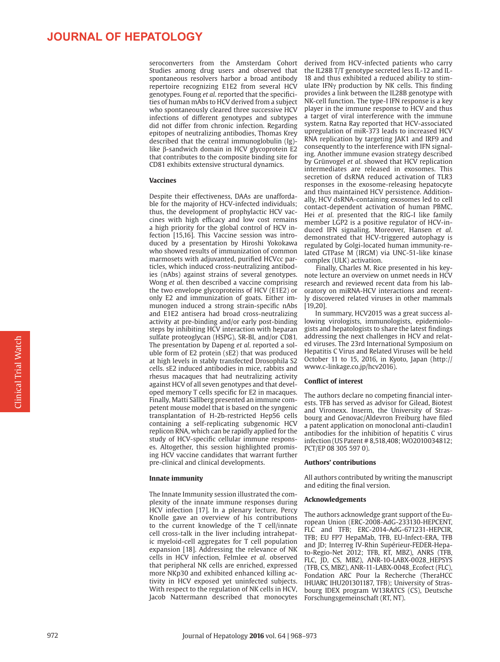### **JOURNAL OF HEPATOLOGY**

Studies among drug users and observed that spontaneous resolvers harbor a broad antibody repertoire recognizing E1E2 from several HCV genotypes. Foung *et al*. reported that the specificities of human mAbs to HCV derived from a subject who spontaneously cleared three successive HCV infections of different genotypes and subtypes did not differ from chronic infection. Regarding epitopes of neutralizing antibodies, Thomas Krey described that the central immunoglobulin (Ig) like β-sandwich domain in HCV glycoprotein E2 that contributes to the composite binding site for CD81 exhibits extensive structural dynamics.

#### **Vaccines**

Despite their effectiveness, DAAs are unaffordable for the majority of HCV-infected individuals; thus, the development of prophylactic HCV vaccines with high efficacy and low cost remains a high priority for the global control of HCV infection [\[15,16\].](#page-5-11) This Vaccine session was introduced by a presentation by Hiroshi Yokokawa who showed results of immunization of common marmosets with adjuvanted, purified HCVcc particles, which induced cross-neutralizing antibodies (nAbs) against strains of several genotypes. Wong *et al*. then described a vaccine comprising the two envelope glycoproteins of HCV (E1E2) or only E2 and immunization of goats. Either immunogen induced a strong strain-specific nAbs and E1E2 antisera had broad cross-neutralizing activity at pre-binding and/or early post-binding steps by inhibiting HCV interaction with heparan sulfate proteoglycan (HSPG), SR-BI, and/or CD81. The presentation by Dapeng *et al*. reported a soluble form of E2 protein (sE2) that was produced at high levels in stably transfected Drosophila S2 cells. sE2 induced antibodies in mice, rabbits and rhesus macaques that had neutralizing activity against HCV of all seven genotypes and that developed memory T cells specific for E2 in macaques. Finally, Matti Sällberg presented an immune competent mouse model that is based on the syngenic transplantation of H-2b-restricted Hep56 cells containing a self-replicating subgenomic HCV replicon RNA, which can be rapidly applied for the study of HCV-specific cellular immune responses. Altogether, this session highlighted promising HCV vaccine candidates that warrant further pre-clinical and clinical developments.

#### **Innate immunity**

The Innate Immunity session illustrated the complexity of the innate immune responses during HCV infection [\[17\].](#page-5-12) In a plenary lecture, Percy Knolle gave an overview of his contributions to the current knowledge of the T cell/innate cell cross-talk in the liver including intrahepatic myeloid-cell aggregates for T cell population expansion [\[18\].](#page-5-13) Addressing the relevance of NK cells in HCV infection, Felmlee *et al*. observed that peripheral NK cells are enriched, expressed more NKp30 and exhibited enhanced killing activity in HCV exposed yet uninfected subjects. With respect to the regulation of NK cells in HCV, Jacob Nattermann described that monocytes

seroconverters from the Amsterdam Cohort derived from HCV-infected patients who carry the IL28B T/T genotype secreted less IL-12 and IL-18 and thus exhibited a reduced ability to stimulate IFNγ production by NK cells. This finding provides a link between the IL28B genotype with NK-cell function. The type-I IFN response is a key player in the immune response to HCV and thus a target of viral interference with the immune system. Ratna Ray reported that HCV-associated upregulation of miR-373 leads to increased HCV RNA replication by targeting JAK1 and IRF9 and consequently to the interference with IFN signaling. Another immune evasion strategy described by Grünvogel *et al*. showed that HCV replication intermediates are released in exosomes. This secretion of dsRNA reduced activation of TLR3 responses in the exosome-releasing hepatocyte and thus maintained HCV persistence. Additionally, HCV dsRNA-containing exosomes led to cell contact-dependent activation of human PBMC. Hei *et al*. presented that the RIG-I like family member LGP2 is a positive regulator of HCV-induced IFN signaling. Moreover, Hansen *et al*. demonstrated that HCV-triggered autophagy is regulated by Golgi-located human immunity-related GTPase M (IRGM) via UNC-51-like kinase complex (ULK) activation.

> Finally, Charles M. Rice presented in his keynote lecture an overview on unmet needs in HCV research and reviewed recent data from his laboratory on miRNA-HCV interactions and recently discovered related viruses in other mammals [\[19,20\]](#page-5-14).

> In summary, HCV2015 was a great success allowing virologists, immunologists, epidemiologists and hepatologists to share the latest findings addressing the next challenges in HCV and related viruses. The 23rd International Symposium on Hepatitis C Virus and Related Viruses will be held October 11 to 15, 2016, in Kyoto, Japan (http:// www.c-linkage.co.jp/hcv2016).

#### **Conflict of interest**

The authors declare no competing financial interests. TFB has served as advisor for Gilead, Biotest and Vironexx. Inserm, the University of Strasbourg and Genovac/Aldevron Freiburg have filed a patent application on monoclonal anti-claudin1 antibodies for the inhibition of hepatitis C virus infection (US Patent # 8,518,408; WO2010034812; PCT/EP 08 305 597 0).

#### **Authors' contributions**

All authors contributed by writing the manuscript and editing the final version.

#### **Acknowledgements**

The authors acknowledge grant support of the European Union (ERC-2008-AdG-233130-HEPCENT, FLC and TFB; ERC-2014-AdG-671231-HEPCIR, TFB; EU FP7 HepaMab, TFB, EU-Infect-ERA, TFB and JD; Interreg IV-Rhin Supérieur-FEDER-Hepato-Regio-Net 2012; TFB, RT, MBZ), ANRS (TFB, FLC, JD, CS, MBZ), ANR-10-LABX-0028\_HEPSYS (TFB, CS, MBZ), ANR-11-LABX-0048\_Ecofect (FLC), Fondation ARC Pour la Recherche (TheraHCC IHUARC IHU201301187, TFB); University of Strasbourg IDEX program W13RATCS (CS), Deutsche Forschungsgemeinschaft (RT, NT).

972

Clinical Trial Watch

**Clinical Trial Watch**